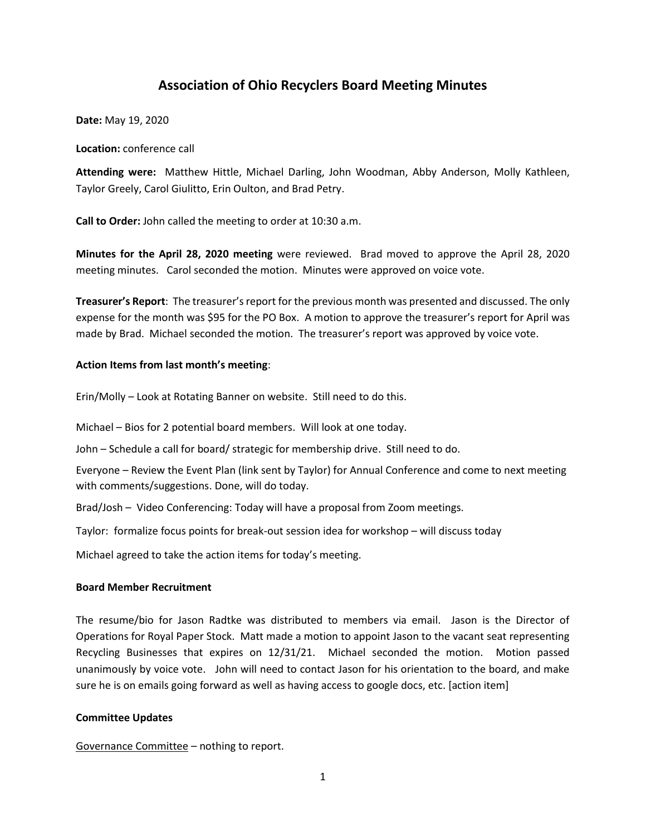# **Association of Ohio Recyclers Board Meeting Minutes**

**Date:** May 19, 2020

**Location:** conference call

**Attending were:** Matthew Hittle, Michael Darling, John Woodman, Abby Anderson, Molly Kathleen, Taylor Greely, Carol Giulitto, Erin Oulton, and Brad Petry.

**Call to Order:** John called the meeting to order at 10:30 a.m.

**Minutes for the April 28, 2020 meeting** were reviewed. Brad moved to approve the April 28, 2020 meeting minutes. Carol seconded the motion. Minutes were approved on voice vote.

**Treasurer's Report**: The treasurer's report for the previous month was presented and discussed. The only expense for the month was \$95 for the PO Box. A motion to approve the treasurer's report for April was made by Brad. Michael seconded the motion. The treasurer's report was approved by voice vote.

## **Action Items from last month's meeting**:

Erin/Molly – Look at Rotating Banner on website. Still need to do this.

Michael – Bios for 2 potential board members. Will look at one today.

John – Schedule a call for board/ strategic for membership drive. Still need to do.

Everyone – Review the Event Plan (link sent by Taylor) for Annual Conference and come to next meeting with comments/suggestions. Done, will do today.

Brad/Josh – Video Conferencing: Today will have a proposal from Zoom meetings.

Taylor: formalize focus points for break-out session idea for workshop – will discuss today

Michael agreed to take the action items for today's meeting.

#### **Board Member Recruitment**

The resume/bio for Jason Radtke was distributed to members via email. Jason is the Director of Operations for Royal Paper Stock. Matt made a motion to appoint Jason to the vacant seat representing Recycling Businesses that expires on 12/31/21. Michael seconded the motion. Motion passed unanimously by voice vote. John will need to contact Jason for his orientation to the board, and make sure he is on emails going forward as well as having access to google docs, etc. [action item]

#### **Committee Updates**

Governance Committee – nothing to report.